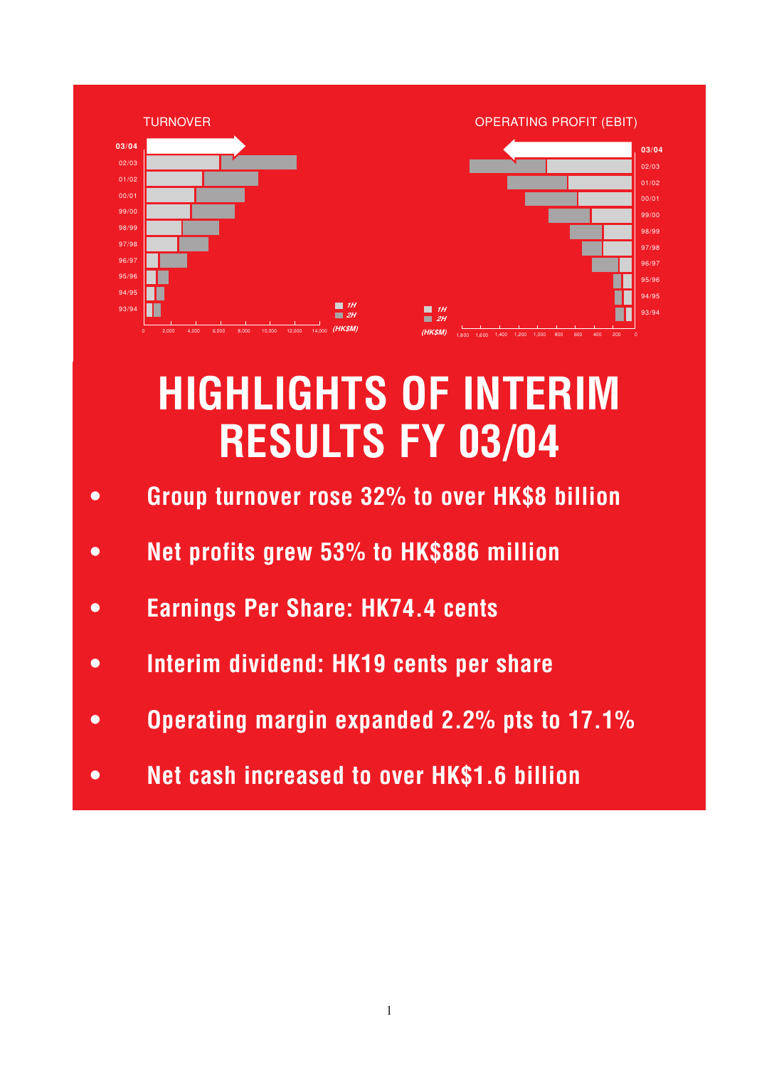

## **HIGHLIGHTS OF INTERIM RESULTS FY 03/04**

- **Group turnover rose 32% to over HK\$8 billion**
- **Net profits grew 53% to HK\$886 million**
- **Earnings Per Share: HK74.4 cents**
- **Interim dividend: HK19 cents per share**
- **Operating margin expanded 2.2% pts to 17.1%**
- **Net cash increased to over HK\$1.6 billion**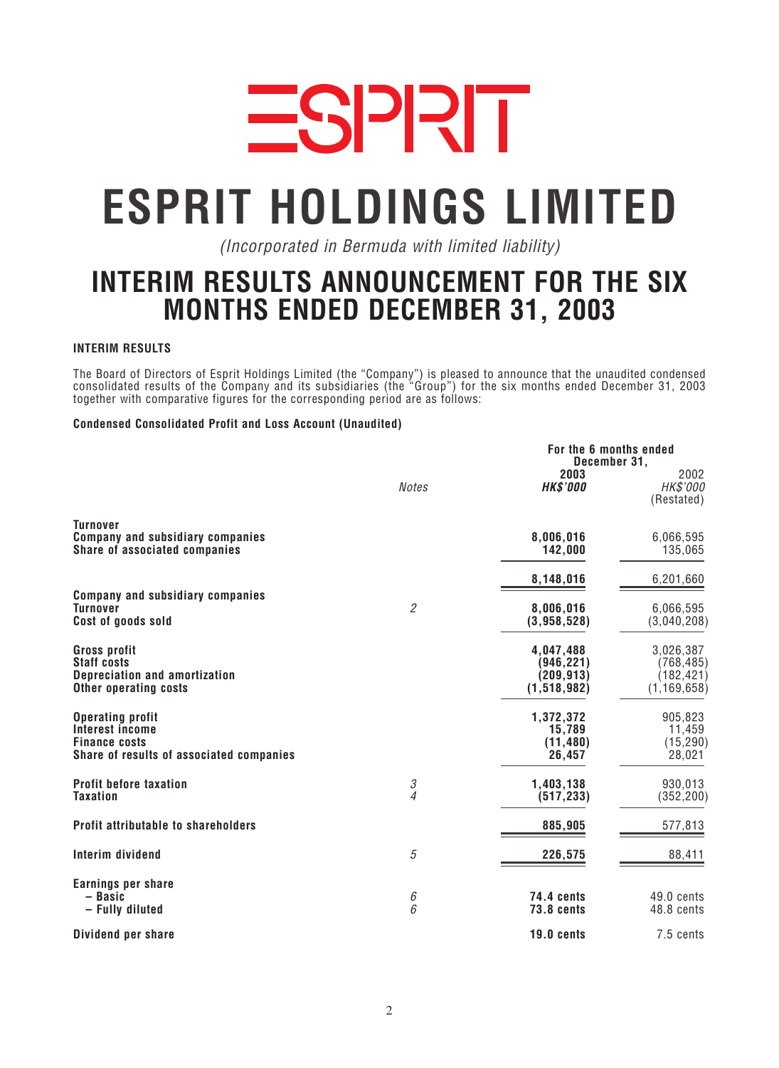

# **ESPRIT HOLDINGS LIMITED**

*(Incorporated in Bermuda with limited liability)*

### **INTERIM RESULTS ANNOUNCEMENT FOR THE SIX MONTHS ENDED DECEMBER 31, 2003**

#### **INTERIM RESULTS**

*The Board of Directors of Esprit Holdings Limited (the "Company") is pleased to announce that the unaudited condensed consolidated results of the Company and its subsidiaries (the "Group") for the six months ended December 31, 2003 together with comparative figures for the corresponding period are as follows:*

#### **Condensed Consolidated Profit and Loss Account (Unaudited)**

|                                                                                                                       |                     | For the 6 months ended<br>December 31,               |                                                        |
|-----------------------------------------------------------------------------------------------------------------------|---------------------|------------------------------------------------------|--------------------------------------------------------|
|                                                                                                                       | <b>Notes</b>        | 2003<br><b>HK\$'000</b>                              | 2002<br>HK\$'000<br>(Restated)                         |
| <b>Turnover</b><br><b>Company and subsidiary companies</b><br>Share of associated companies                           |                     | 8,006,016<br>142,000                                 | 6,066,595<br>135,065                                   |
|                                                                                                                       |                     | 8,148,016                                            | 6,201,660                                              |
| <b>Company and subsidiary companies</b><br><b>Turnover</b><br>Cost of goods sold                                      | $\mathfrak{2}$      | 8,006,016<br>(3,958,528)                             | 6,066,595<br>(3,040,208)                               |
| <b>Gross profit</b><br><b>Staff costs</b><br><b>Depreciation and amortization</b><br><b>Other operating costs</b>     |                     | 4,047,488<br>(946, 221)<br>(209, 913)<br>(1,518,982) | 3,026,387<br>(768, 485)<br>(182, 421)<br>(1, 169, 658) |
| <b>Operating profit</b><br><b>Interest income</b><br><b>Finance costs</b><br>Share of results of associated companies |                     | 1,372,372<br>15,789<br>(11, 480)<br>26,457           | 905,823<br>11,459<br>(15, 290)<br>28,021               |
| <b>Profit before taxation</b><br><b>Taxation</b>                                                                      | 3<br>$\overline{4}$ | 1,403,138<br>(517, 233)                              | 930,013<br>(352, 200)                                  |
| <b>Profit attributable to shareholders</b>                                                                            |                     | 885,905                                              | 577,813                                                |
| Interim dividend                                                                                                      | 5                   | 226,575                                              | 88,411                                                 |
| Earnings per share<br>- Basic<br>- Fully diluted                                                                      | 6<br>6              | <b>74.4 cents</b><br><b>73.8 cents</b>               | $49.0$ cents<br>48.8 cents                             |
| Dividend per share                                                                                                    |                     | 19.0 cents                                           | 7.5 cents                                              |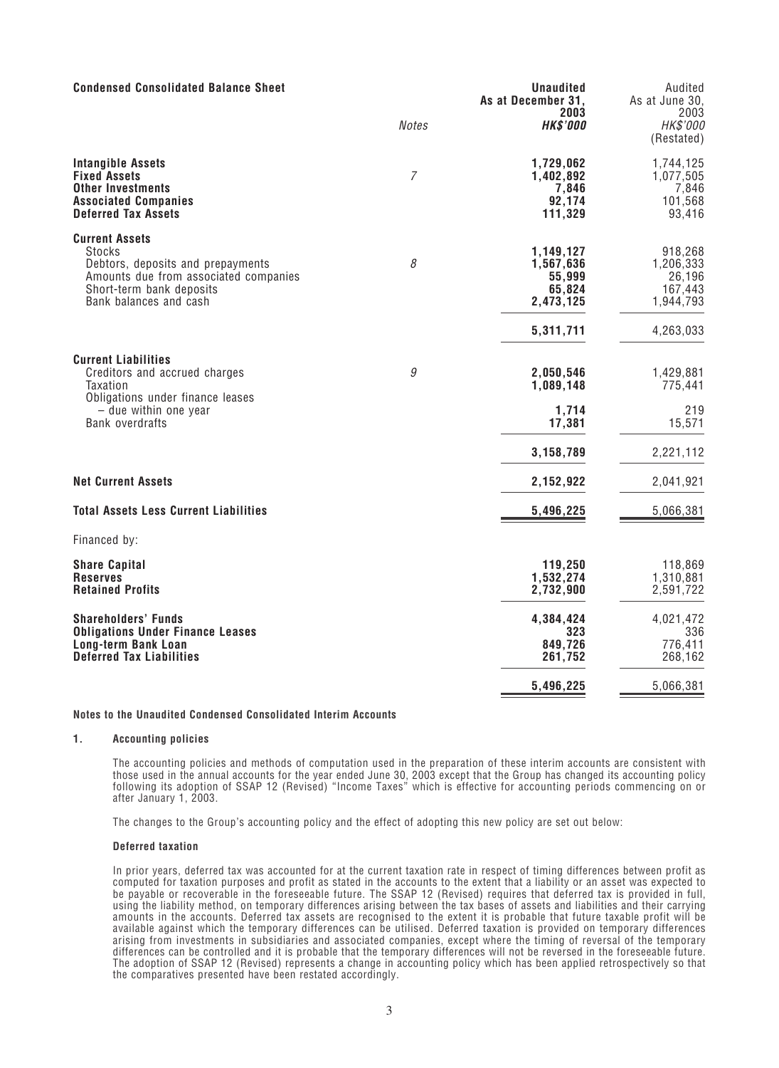| <b>Condensed Consolidated Balance Sheet</b>                                                                                                                         |              | <b>Unaudited</b><br>As at December 31,                               | Audited<br>As at June 30,<br>2003                                   |
|---------------------------------------------------------------------------------------------------------------------------------------------------------------------|--------------|----------------------------------------------------------------------|---------------------------------------------------------------------|
|                                                                                                                                                                     | <b>Notes</b> | 2003<br><b>HK\$'000</b>                                              | HK\$'000<br>(Restated)                                              |
| <b>Intangible Assets</b><br><b>Fixed Assets</b><br><b>Other Investments</b><br><b>Associated Companies</b><br><b>Deferred Tax Assets</b>                            | 7            | 1,729,062<br>1,402,892<br>7,846<br>92,174<br>111,329                 | 1,744,125<br>1,077,505<br>7,846<br>101,568<br>93,416                |
| <b>Current Assets</b><br>Stocks<br>Debtors, deposits and prepayments<br>Amounts due from associated companies<br>Short-term bank deposits<br>Bank balances and cash | 8            | 1,149,127<br>1,567,636<br>55,999<br>65,824<br>2,473,125<br>5,311,711 | 918,268<br>1,206,333<br>26,196<br>167,443<br>1,944,793<br>4,263,033 |
| <b>Current Liabilities</b><br>Creditors and accrued charges<br>Taxation<br>Obligations under finance leases<br>$-$ due within one year<br><b>Bank overdrafts</b>    | 9            | 2,050,546<br>1,089,148<br>1,714<br>17,381<br>3,158,789               | 1,429,881<br>775,441<br>219<br>15,571<br>2,221,112                  |
| <b>Net Current Assets</b>                                                                                                                                           |              | 2,152,922                                                            | 2,041,921                                                           |
| <b>Total Assets Less Current Liabilities</b>                                                                                                                        |              | 5,496,225                                                            | 5,066,381                                                           |
| Financed by:                                                                                                                                                        |              |                                                                      |                                                                     |
| <b>Share Capital</b><br><b>Reserves</b><br><b>Retained Profits</b>                                                                                                  |              | 119,250<br>1,532,274<br>2,732,900                                    | 118,869<br>1,310,881<br>2,591,722                                   |
| <b>Shareholders' Funds</b><br><b>Obligations Under Finance Leases</b><br><b>Long-term Bank Loan</b><br><b>Deferred Tax Liabilities</b>                              |              | 4,384,424<br>323<br>849,726<br>261,752                               | 4,021,472<br>336<br>776,411<br>268,162                              |
|                                                                                                                                                                     |              | 5,496,225                                                            | 5,066,381                                                           |

#### **Notes to the Unaudited Condensed Consolidated Interim Accounts**

#### **1. Accounting policies**

*The accounting policies and methods of computation used in the preparation of these interim accounts are consistent with those used in the annual accounts for the year ended June 30, 2003 except that the Group has changed its accounting policy following its adoption of SSAP 12 (Revised) "Income Taxes" which is effective for accounting periods commencing on or after January 1, 2003.*

*The changes to the Group's accounting policy and the effect of adopting this new policy are set out below:*

#### **Deferred taxation**

*In prior years, deferred tax was accounted for at the current taxation rate in respect of timing differences between profit as computed for taxation purposes and profit as stated in the accounts to the extent that a liability or an asset was expected to be payable or recoverable in the foreseeable future. The SSAP 12 (Revised) requires that deferred tax is provided in full, using the liability method, on temporary differences arising between the tax bases of assets and liabilities and their carrying amounts in the accounts. Deferred tax assets are recognised to the extent it is probable that future taxable profit will be available against which the temporary differences can be utilised. Deferred taxation is provided on temporary differences arising from investments in subsidiaries and associated companies, except where the timing of reversal of the temporary differences can be controlled and it is probable that the temporary differences will not be reversed in the foreseeable future. The adoption of SSAP 12 (Revised) represents a change in accounting policy which has been applied retrospectively so that the comparatives presented have been restated accordingly.*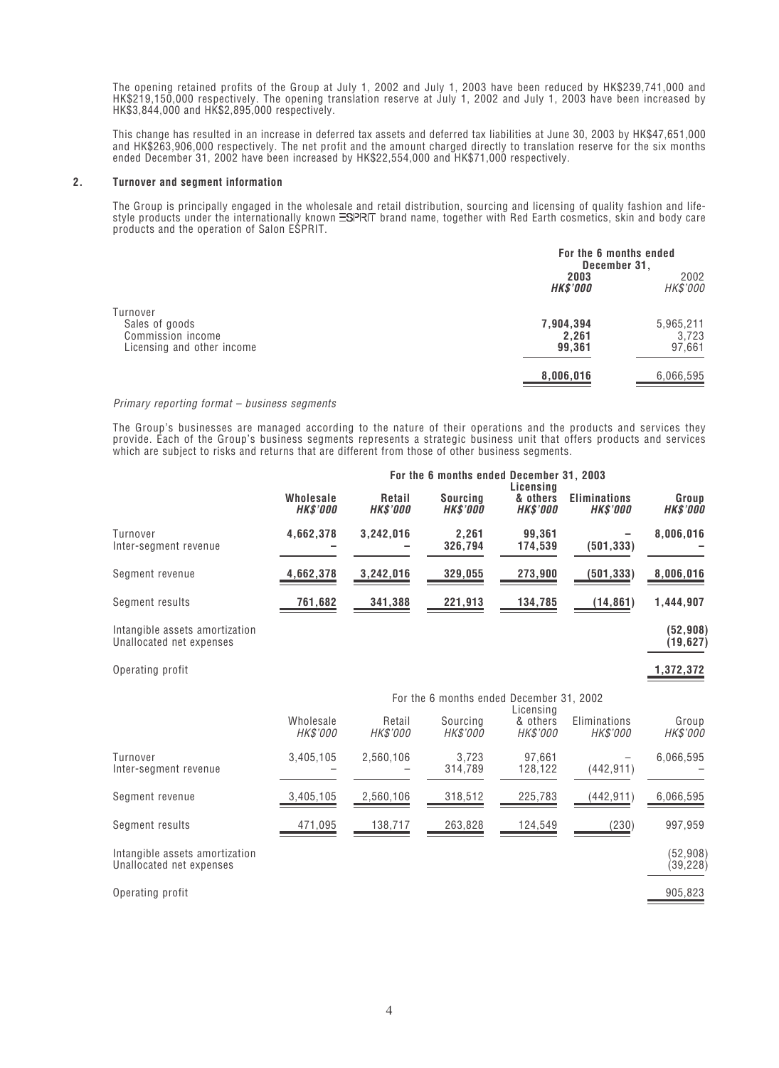*The opening retained profits of the Group at July 1, 2002 and July 1, 2003 have been reduced by HK\$239,741,000 and HK\$219,150,000 respectively. The opening translation reserve at July 1, 2002 and July 1, 2003 have been increased by HK\$3,844,000 and HK\$2,895,000 respectively.*

*This change has resulted in an increase in deferred tax assets and deferred tax liabilities at June 30, 2003 by HK\$47,651,000 and HK\$263,906,000 respectively. The net profit and the amount charged directly to translation reserve for the six months ended December 31, 2002 have been increased by HK\$22,554,000 and HK\$71,000 respectively.*

#### **2. Turnover and segment information**

*The Group is principally engaged in the wholesale and retail distribution, sourcing and licensing of quality fashion and lifestyle products under the internationally known ESPRIT brand name, together with Red Earth cosmetics, skin and body care products and the operation of Salon ESPRIT.*

|                                                                               | For the 6 months ended<br>December 31, |                              |
|-------------------------------------------------------------------------------|----------------------------------------|------------------------------|
|                                                                               | 2003<br><b>HK\$'000</b>                | 2002<br>HK\$'000             |
| Turnover<br>Sales of goods<br>Commission income<br>Licensing and other income | 7,904,394<br>2,261<br>99,361           | 5,965,211<br>3,723<br>97,661 |
|                                                                               | 8,006,016                              | 6,066,595                    |

#### *Primary reporting format – business segments*

*The Group's businesses are managed according to the nature of their operations and the products and services they provide. Each of the Group's business segments represents a strategic business unit that offers products and services which are subject to risks and returns that are different from those of other business segments.*

|                                                            |                              |                                  | For the 6 months ended December 31, 2003 | Licensina                         |                                        |                          |
|------------------------------------------------------------|------------------------------|----------------------------------|------------------------------------------|-----------------------------------|----------------------------------------|--------------------------|
|                                                            | Wholesale<br><b>HK\$'000</b> | <b>Retail</b><br><b>HK\$'000</b> | <b>Sourcing</b><br><b>HK\$'000</b>       | & others<br><b>HK\$'000</b>       | <b>Eliminations</b><br><b>HK\$'000</b> | Group<br><b>HK\$'000</b> |
| Turnover<br>Inter-segment revenue                          | 4,662,378                    | 3,242,016                        | 2,261<br>326,794                         | 99,361<br>174,539                 | (501, 333)                             | 8,006,016                |
| Seament revenue                                            | 4,662,378                    | 3,242,016                        | 329,055                                  | 273,900                           | (501, 333)                             | 8,006,016                |
| Segment results                                            | 761,682                      | 341,388                          | 221,913                                  | 134,785                           | (14, 861)                              | 1,444,907                |
| Intangible assets amortization<br>Unallocated net expenses |                              |                                  |                                          |                                   |                                        | (52, 908)<br>(19, 627)   |
| Operating profit                                           |                              |                                  |                                          |                                   |                                        | 1,372,372                |
|                                                            |                              |                                  | For the 6 months ended December 31, 2002 |                                   |                                        |                          |
|                                                            | Wholesale<br><i>HK\$'000</i> | Retail<br>HK\$'000               | Sourcing<br>HK\$'000                     | Licensing<br>& others<br>HK\$'000 | Eliminations<br>HK\$'000               | Group<br>HK\$'000        |
| Turnover<br>Inter-segment revenue                          | 3,405,105                    | 2,560,106                        | 3,723<br>314,789                         | 97,661<br>128,122                 | (442, 911)                             | 6,066,595                |
| Segment revenue                                            | 3,405,105                    | 2,560,106                        | 318,512                                  | 225,783                           | (442, 911)                             | 6,066,595                |
| Segment results                                            | 471,095                      | 138,717                          | 263,828                                  | 124,549                           | (230)                                  | 997,959                  |
| Intangible assets amortization<br>Unallocated net expenses |                              |                                  |                                          |                                   |                                        | (52, 908)<br>(39, 228)   |
| Operating profit                                           |                              |                                  |                                          |                                   |                                        | 905,823                  |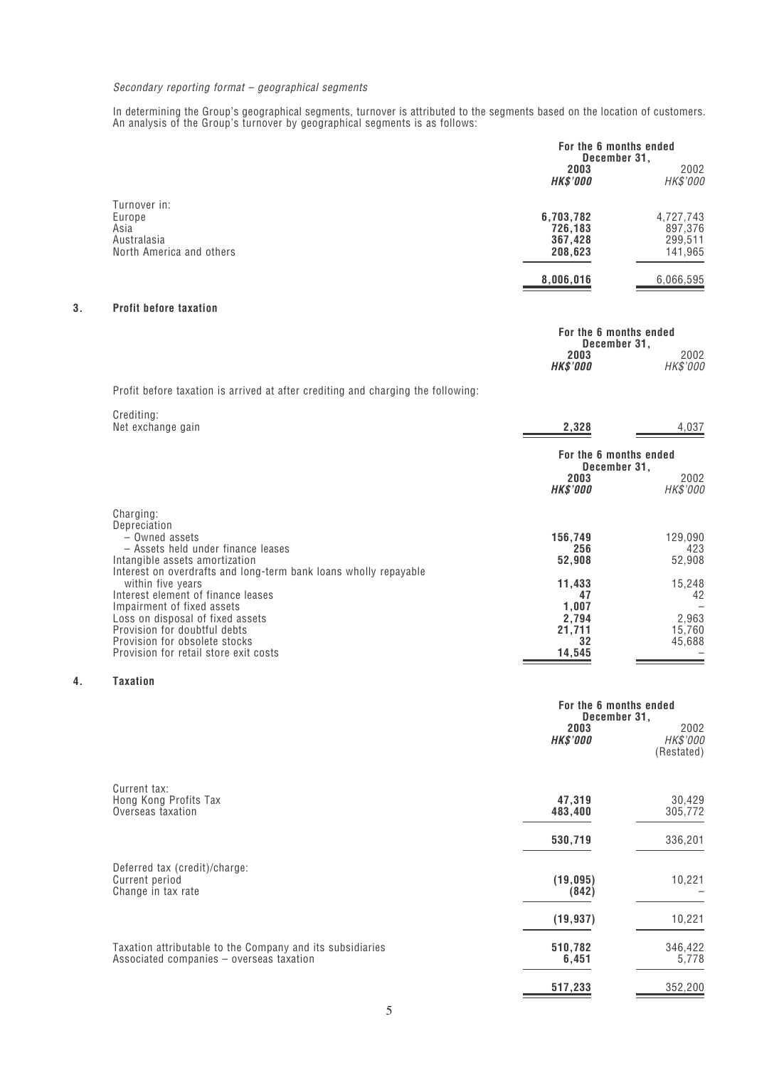#### *Secondary reporting format – geographical segments*

*In determining the Group's geographical segments, turnover is attributed to the segments based on the location of customers. An analysis of the Group's turnover by geographical segments is as follows:*

|    |                                                                           | For the 6 months ended<br>December 31,     |                                            |
|----|---------------------------------------------------------------------------|--------------------------------------------|--------------------------------------------|
|    |                                                                           | 2003<br><b>HK\$'000</b>                    | 2002<br>HK\$'000                           |
|    | Turnover in:<br>Europe<br>Asia<br>Australasia<br>North America and others | 6,703,782<br>726.183<br>367,428<br>208,623 | 4,727,743<br>897,376<br>299,511<br>141,965 |
|    |                                                                           | 8,006,016                                  | 6,066,595                                  |
| 3. | <b>Profit before taxation</b>                                             |                                            |                                            |
|    |                                                                           | For the 6 months ended                     |                                            |

**December 31,**

**HK\$'000** *HK\$'000*

**2003** *2002*

*Profit before taxation is arrived at after crediting and charging the following:*

| Crediting:<br>Net exchange gain                                                                                                                                                                                                     | 2,328                                                             | 4,037                                     |
|-------------------------------------------------------------------------------------------------------------------------------------------------------------------------------------------------------------------------------------|-------------------------------------------------------------------|-------------------------------------------|
|                                                                                                                                                                                                                                     | For the 6 months ended<br>December 31,<br>2003<br><b>HK\$'000</b> | 2002<br>HK\$'000                          |
| Charging:<br>Depreciation<br>- Owned assets<br>- Assets held under finance leases<br>Intangible assets amortization<br>Interest on overdrafts and long-term bank loans wholly repayable                                             | 156,749<br>256<br>52,908                                          | 129,090<br>423<br>52,908                  |
| within five years<br>Interest element of finance leases<br>Impairment of fixed assets<br>Loss on disposal of fixed assets<br>Provision for doubtful debts<br>Provision for obsolete stocks<br>Provision for retail store exit costs | 11,433<br>47<br>1,007<br>2,794<br>21,711<br>32<br>14,545          | 15,248<br>42<br>2,963<br>15,760<br>45,688 |

#### **4. Taxation**

|                                                                                                       | For the 6 months ended<br>December 31, |                                |
|-------------------------------------------------------------------------------------------------------|----------------------------------------|--------------------------------|
|                                                                                                       | 2003<br><b>HK\$'000</b>                | 2002<br>HK\$'000<br>(Restated) |
| Current tax:<br>Hong Kong Profits Tax<br>Overseas taxation                                            | 47,319<br>483,400                      | 30,429<br>305,772              |
|                                                                                                       | 530,719                                | 336,201                        |
| Deferred tax (credit)/charge:<br>Current period<br>Change in tax rate                                 | (19, 095)<br>(842)                     | 10,221                         |
|                                                                                                       | (19, 937)                              | 10,221                         |
| Taxation attributable to the Company and its subsidiaries<br>Associated companies - overseas taxation | 510,782<br>6,451                       | 346,422<br>5,778               |
|                                                                                                       | 517,233                                | 352,200                        |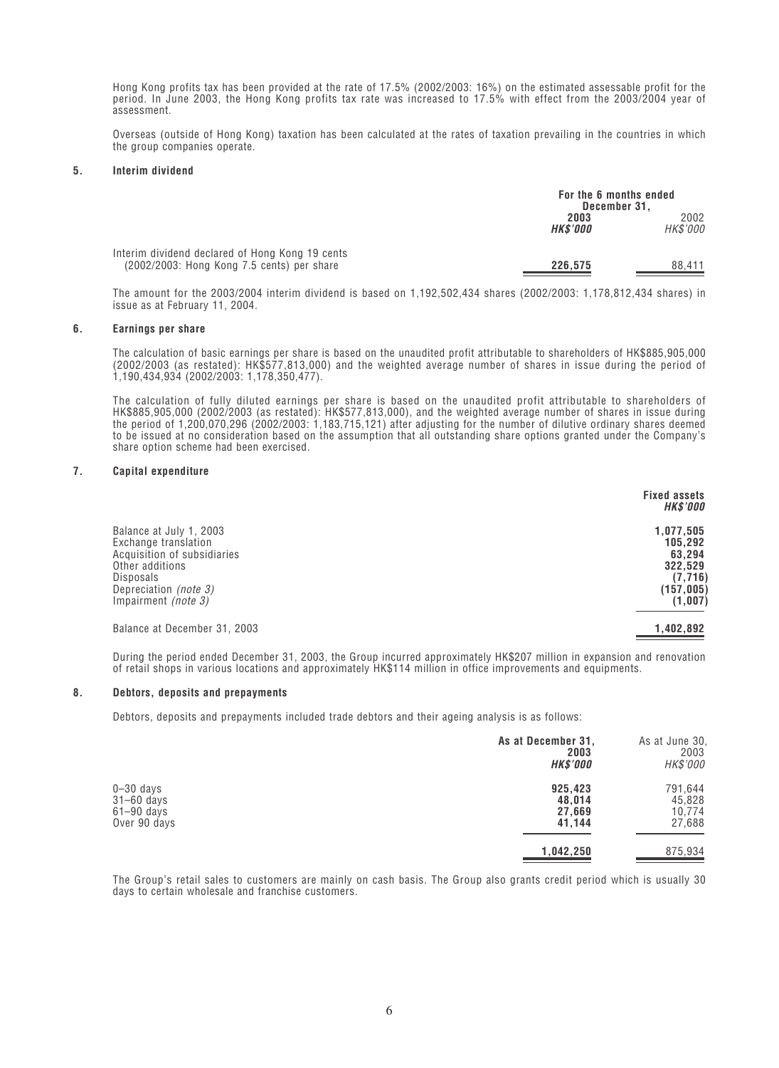*Hong Kong profits tax has been provided at the rate of 17.5% (2002/2003: 16%) on the estimated assessable profit for the period. In June 2003, the Hong Kong profits tax rate was increased to 17.5% with effect from the 2003/2004 year of assessment.*

*Overseas (outside of Hong Kong) taxation has been calculated at the rates of taxation prevailing in the countries in which the group companies operate.*

#### **5. Interim dividend**

|                                                                                               | For the 6 months ended<br>December 31. |                  |
|-----------------------------------------------------------------------------------------------|----------------------------------------|------------------|
|                                                                                               | 2003<br><b>HK\$'000</b>                | 2002<br>HK\$'000 |
| Interim dividend declared of Hong Kong 19 cents<br>(2002/2003: Hong Kong 7.5 cents) per share | 226.575                                | 88.411           |

*The amount for the 2003/2004 interim dividend is based on 1,192,502,434 shares (2002/2003: 1,178,812,434 shares) in issue as at February 11, 2004.*

#### **6. Earnings per share**

*The calculation of basic earnings per share is based on the unaudited profit attributable to shareholders of HK\$885,905,000 (2002/2003 (as restated): HK\$577,813,000) and the weighted average number of shares in issue during the period of 1,190,434,934 (2002/2003: 1,178,350,477).*

*The calculation of fully diluted earnings per share is based on the unaudited profit attributable to shareholders of HK\$885,905,000 (2002/2003 (as restated): HK\$577,813,000), and the weighted average number of shares in issue during the period of 1,200,070,296 (2002/2003: 1,183,715,121) after adjusting for the number of dilutive ordinary shares deemed to be issued at no consideration based on the assumption that all outstanding share options granted under the Company's share option scheme had been exercised.*

#### **7. Capital expenditure**

|                                                                                                                                                                       | <b>Fixed assets</b><br><b>HK\$'000</b>                                        |
|-----------------------------------------------------------------------------------------------------------------------------------------------------------------------|-------------------------------------------------------------------------------|
| Balance at July 1, 2003<br>Exchange translation<br>Acquisition of subsidiaries<br>Other additions<br>Disposals<br>Depreciation (note 3)<br>Impairment <i>(note 3)</i> | 1,077,505<br>105,292<br>63,294<br>322,529<br>(7, 716)<br>(157,005)<br>(1,007) |
| Balance at December 31, 2003                                                                                                                                          | 1,402,892                                                                     |

*During the period ended December 31, 2003, the Group incurred approximately HK\$207 million in expansion and renovation of retail shops in various locations and approximately HK\$114 million in office improvements and equipments.*

#### **8. Debtors, deposits and prepayments**

*Debtors, deposits and prepayments included trade debtors and their ageing analysis is as follows:*

|                                                                   | As at December 31,<br>2003<br><b>HK\$'000</b> | As at June 30,<br>2003<br>HK\$'000    |
|-------------------------------------------------------------------|-----------------------------------------------|---------------------------------------|
| $0 - 30$ days<br>$31 - 60$ days<br>$61 - 90$ days<br>Over 90 days | 925,423<br>48,014<br>27,669<br>41.144         | 791,644<br>45,828<br>10,774<br>27,688 |
|                                                                   | 1,042,250                                     | 875,934                               |

*The Group's retail sales to customers are mainly on cash basis. The Group also grants credit period which is usually 30 days to certain wholesale and franchise customers.*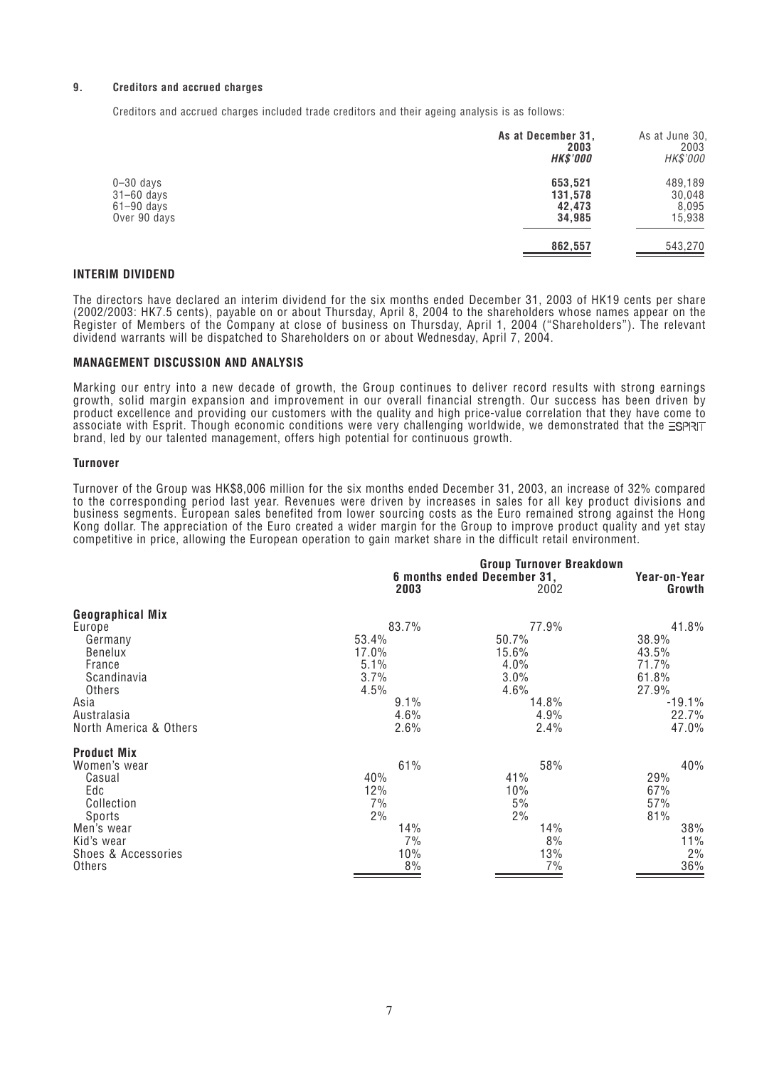#### **9. Creditors and accrued charges**

*Creditors and accrued charges included trade creditors and their ageing analysis is as follows:*

|                                                                   | As at December 31,<br>2003<br><b>HK\$'000</b> | As at June 30,<br>2003<br>HK\$'000   |
|-------------------------------------------------------------------|-----------------------------------------------|--------------------------------------|
| $0 - 30$ days<br>$31 - 60$ days<br>$61 - 90$ days<br>Over 90 days | 653,521<br>131,578<br>42,473<br>34,985        | 489,189<br>30,048<br>8,095<br>15,938 |
|                                                                   | 862,557                                       | 543,270                              |

#### **INTERIM DIVIDEND**

*The directors have declared an interim dividend for the six months ended December 31, 2003 of HK19 cents per share (2002/2003: HK7.5 cents), payable on or about Thursday, April 8, 2004 to the shareholders whose names appear on the Register of Members of the Company at close of business on Thursday, April 1, 2004 ("Shareholders"). The relevant dividend warrants will be dispatched to Shareholders on or about Wednesday, April 7, 2004.*

#### **MANAGEMENT DISCUSSION AND ANALYSIS**

*Marking our entry into a new decade of growth, the Group continues to deliver record results with strong earnings growth, solid margin expansion and improvement in our overall financial strength. Our success has been driven by product excellence and providing our customers with the quality and high price-value correlation that they have come to* associate with Esprit. Though economic conditions were very challenging worldwide, we demonstrated that the **ESPRT** *brand, led by our talented management, offers high potential for continuous growth.*

#### **Turnover**

*Turnover of the Group was HK\$8,006 million for the six months ended December 31, 2003, an increase of 32% compared to the corresponding period last year. Revenues were driven by increases in sales for all key product divisions and business segments. European sales benefited from lower sourcing costs as the Euro remained strong against the Hong Kong dollar. The appreciation of the Euro created a wider margin for the Group to improve product quality and yet stay competitive in price, allowing the European operation to gain market share in the difficult retail environment.*

|                         | 2003  | <b>Group Turnover Breakdown</b><br>6 months ended December 31,<br>2002 | Year-on-Year<br>Growth |
|-------------------------|-------|------------------------------------------------------------------------|------------------------|
| <b>Geographical Mix</b> |       |                                                                        |                        |
| Europe                  | 83.7% | 77.9%                                                                  | 41.8%                  |
| Germany                 | 53.4% | 50.7%                                                                  | 38.9%                  |
| Benelux                 | 17.0% | 15.6%                                                                  | 43.5%                  |
| France                  | 5.1%  | 4.0%                                                                   | 71.7%                  |
| Scandinavia             | 3.7%  | 3.0%                                                                   | 61.8%                  |
| Others                  | 4.5%  | 4.6%                                                                   | 27.9%                  |
| Asia                    | 9.1%  | 14.8%                                                                  | $-19.1%$               |
| Australasia             | 4.6%  | 4.9%                                                                   | 22.7%                  |
| North America & Others  | 2.6%  | 2.4%                                                                   | 47.0%                  |
| <b>Product Mix</b>      |       |                                                                        |                        |
| Women's wear            | 61%   | 58%                                                                    | 40%                    |
| Casual                  | 40%   | 41%                                                                    | 29%                    |
| Edc                     | 12%   | 10%                                                                    | 67%                    |
| Collection              | 7%    | 5%                                                                     | 57%                    |
| Sports                  | 2%    | 2%                                                                     | 81%                    |
| Men's wear              | 14%   | 14%                                                                    | 38%                    |
| Kid's wear              | 7%    | 8%                                                                     | 11%                    |
| Shoes & Accessories     | 10%   | 13%                                                                    | 2%                     |
| Others                  | 8%    | 7%                                                                     | 36%                    |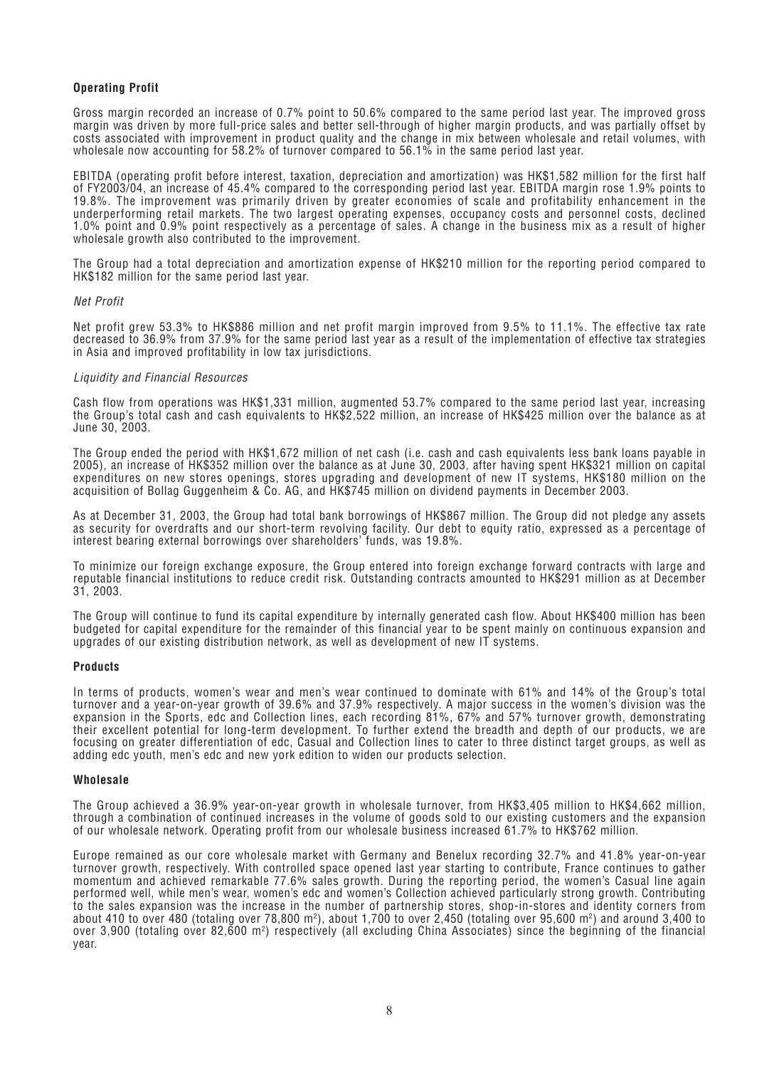#### **Operating Profit**

*Gross margin recorded an increase of 0.7% point to 50.6% compared to the same period last year. The improved gross margin was driven by more full-price sales and better sell-through of higher margin products, and was partially offset by costs associated with improvement in product quality and the change in mix between wholesale and retail volumes, with wholesale now accounting for 58.2% of turnover compared to 56.1% in the same period last year.*

*EBITDA (operating profit before interest, taxation, depreciation and amortization) was HK\$1,582 million for the first half of FY2003/04, an increase of 45.4% compared to the corresponding period last year. EBITDA margin rose 1.9% points to 19.8%. The improvement was primarily driven by greater economies of scale and profitability enhancement in the underperforming retail markets. The two largest operating expenses, occupancy costs and personnel costs, declined 1.0% point and 0.9% point respectively as a percentage of sales. A change in the business mix as a result of higher wholesale growth also contributed to the improvement.*

*The Group had a total depreciation and amortization expense of HK\$210 million for the reporting period compared to HK\$182 million for the same period last year.*

#### *Net Profit*

*Net profit grew 53.3% to HK\$886 million and net profit margin improved from 9.5% to 11.1%. The effective tax rate decreased to 36.9% from 37.9% for the same period last year as a result of the implementation of effective tax strategies in Asia and improved profitability in low tax jurisdictions.*

#### *Liquidity and Financial Resources*

*Cash flow from operations was HK\$1,331 million, augmented 53.7% compared to the same period last year, increasing the Group's total cash and cash equivalents to HK\$2,522 million, an increase of HK\$425 million over the balance as at June 30, 2003.*

*The Group ended the period with HK\$1,672 million of net cash (i.e. cash and cash equivalents less bank loans payable in 2005), an increase of HK\$352 million over the balance as at June 30, 2003, after having spent HK\$321 million on capital expenditures on new stores openings, stores upgrading and development of new IT systems, HK\$180 million on the acquisition of Bollag Guggenheim & Co. AG, and HK\$745 million on dividend payments in December 2003.*

*As at December 31, 2003, the Group had total bank borrowings of HK\$867 million. The Group did not pledge any assets as security for overdrafts and our short-term revolving facility. Our debt to equity ratio, expressed as a percentage of interest bearing external borrowings over shareholders' funds, was 19.8%.*

*To minimize our foreign exchange exposure, the Group entered into foreign exchange forward contracts with large and reputable financial institutions to reduce credit risk. Outstanding contracts amounted to HK\$291 million as at December 31, 2003.*

*The Group will continue to fund its capital expenditure by internally generated cash flow. About HK\$400 million has been budgeted for capital expenditure for the remainder of this financial year to be spent mainly on continuous expansion and upgrades of our existing distribution network, as well as development of new IT systems.*

#### **Products**

*In terms of products, women's wear and men's wear continued to dominate with 61% and 14% of the Group's total turnover and a year-on-year growth of 39.6% and 37.9% respectively. A major success in the women's division was the expansion in the Sports, edc and Collection lines, each recording 81%, 67% and 57% turnover growth, demonstrating their excellent potential for long-term development. To further extend the breadth and depth of our products, we are focusing on greater differentiation of edc, Casual and Collection lines to cater to three distinct target groups, as well as adding edc youth, men's edc and new york edition to widen our products selection.*

#### **Wholesale**

*The Group achieved a 36.9% year-on-year growth in wholesale turnover, from HK\$3,405 million to HK\$4,662 million, through a combination of continued increases in the volume of goods sold to our existing customers and the expansion of our wholesale network. Operating profit from our wholesale business increased 61.7% to HK\$762 million.*

*Europe remained as our core wholesale market with Germany and Benelux recording 32.7% and 41.8% year-on-year turnover growth, respectively. With controlled space opened last year starting to contribute, France continues to gather momentum and achieved remarkable 77.6% sales growth. During the reporting period, the women's Casual line again performed well, while men's wear, women's edc and women's Collection achieved particularly strong growth. Contributing to the sales expansion was the increase in the number of partnership stores, shop-in-stores and identity corners from about 410 to over 480 (totaling over 78,800 m2 ), about 1,700 to over 2,450 (totaling over 95,600 m2 ) and around 3,400 to over 3,900 (totaling over 82,600 m2 ) respectively (all excluding China Associates) since the beginning of the financial year.*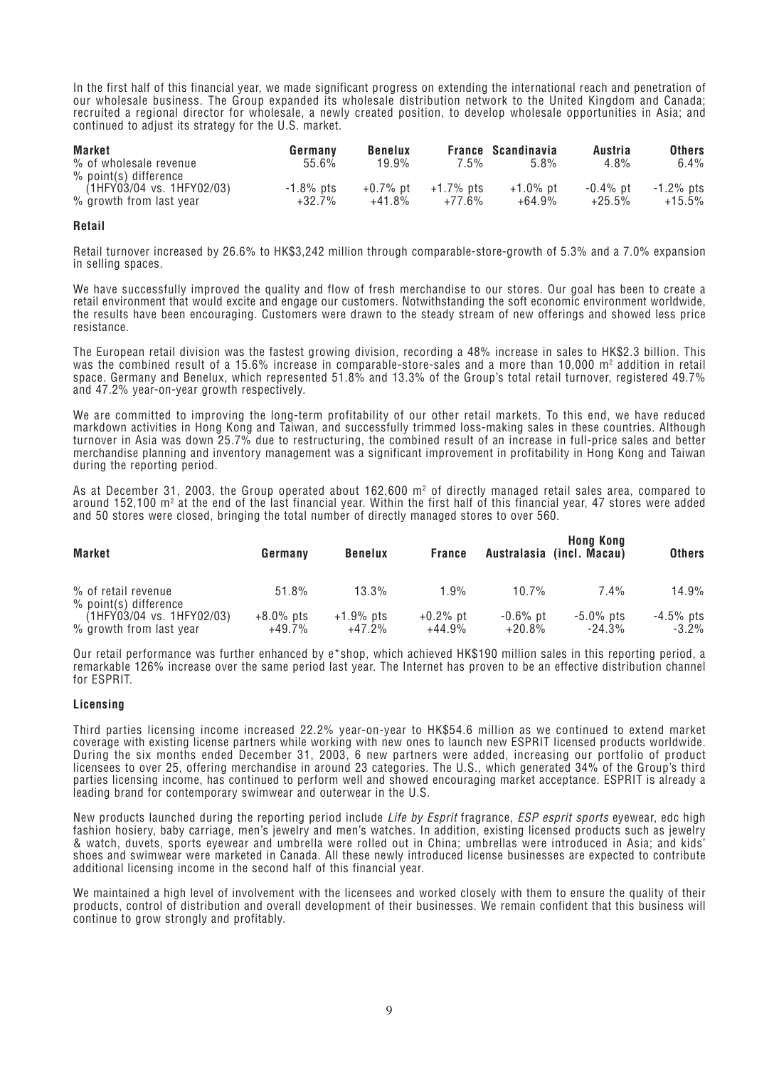*In the first half of this financial year, we made significant progress on extending the international reach and penetration of our wholesale business. The Group expanded its wholesale distribution network to the United Kingdom and Canada; recruited a regional director for wholesale, a newly created position, to develop wholesale opportunities in Asia; and continued to adjust its strategy for the U.S. market.*

| <b>Market</b>             | Germany   | <b>Benelux</b> |           | <b>France Scandinavia</b> | Austria     | <b>Others</b> |
|---------------------------|-----------|----------------|-----------|---------------------------|-------------|---------------|
| % of wholesale revenue    | 55.6%     | 19.9%          | 7.5%      | 5.8%                      | $4.8\%$     | 6.4%          |
| $%$ point(s) difference   |           |                |           |                           |             |               |
| (1HFY03/04 vs. 1HFY02/03) | -1.8% pts | $+0.7\%$ pt    | +1.7% pts | $+1.0\%$ pt               | $-0.4\%$ pt | $-1.2\%$ pts  |
| % growth from last year   | $+32.7\%$ | $+41.8%$       | $+77.6%$  | $+64.9%$                  | $+25.5\%$   | $+15.5\%$     |

#### **Retail**

*Retail turnover increased by 26.6% to HK\$3,242 million through comparable-store-growth of 5.3% and a 7.0% expansion in selling spaces.*

*We have successfully improved the quality and flow of fresh merchandise to our stores. Our goal has been to create a retail environment that would excite and engage our customers. Notwithstanding the soft economic environment worldwide, the results have been encouraging. Customers were drawn to the steady stream of new offerings and showed less price resistance.*

*The European retail division was the fastest growing division, recording a 48% increase in sales to HK\$2.3 billion. This* was the combined result of a 15.6% increase in comparable-store-sales and a more than 10,000 m<sup>2</sup> addition in retail *space. Germany and Benelux, which represented 51.8% and 13.3% of the Group's total retail turnover, registered 49.7% and 47.2% year-on-year growth respectively.*

*We are committed to improving the long-term profitability of our other retail markets. To this end, we have reduced markdown activities in Hong Kong and Taiwan, and successfully trimmed loss-making sales in these countries. Although turnover in Asia was down 25.7% due to restructuring, the combined result of an increase in full-price sales and better merchandise planning and inventory management was a significant improvement in profitability in Hong Kong and Taiwan during the reporting period.*

As at December 31, 2003, the Group operated about 162,600 m<sup>2</sup> of directly managed retail sales area, compared to *around 152,100 m2 at the end of the last financial year. Within the first half of this financial year, 47 stores were added and 50 stores were closed, bringing the total number of directly managed stores to over 560.*

| <b>Market</b>                                        | Germany                  | <b>Benelux</b>            | <b>France</b>           |                         | <b>Hong Kong</b><br>Australasia (incl. Macau) | <b>Others</b>            |
|------------------------------------------------------|--------------------------|---------------------------|-------------------------|-------------------------|-----------------------------------------------|--------------------------|
| % of retail revenue<br>$%$ point(s) difference       | 51.8%                    | $13.3\%$                  | 1.9%                    | $10.7\%$                | $7.4\%$                                       | 14.9%                    |
| (1HFY03/04 vs. 1HFY02/03)<br>% growth from last year | $+8.0\%$ pts<br>$+49.7%$ | $+1.9\%$ pts<br>$+47.2\%$ | $+0.2\%$ pt<br>$+44.9%$ | $-0.6\%$ pt<br>$+20.8%$ | $-5.0\%$ pts<br>$-24.3%$                      | $-4.5\%$ pts<br>$-3.2\%$ |

*Our retail performance was further enhanced by e\*shop, which achieved HK\$190 million sales in this reporting period, a remarkable 126% increase over the same period last year. The Internet has proven to be an effective distribution channel for ESPRIT.*

#### **Licensing**

*Third parties licensing income increased 22.2% year-on-year to HK\$54.6 million as we continued to extend market coverage with existing license partners while working with new ones to launch new ESPRIT licensed products worldwide. During the six months ended December 31, 2003, 6 new partners were added, increasing our portfolio of product licensees to over 25, offering merchandise in around 23 categories. The U.S., which generated 34% of the Group's third parties licensing income, has continued to perform well and showed encouraging market acceptance. ESPRIT is already a leading brand for contemporary swimwear and outerwear in the U.S.*

*New products launched during the reporting period include Life by Esprit fragrance, ESP esprit sports eyewear, edc high fashion hosiery, baby carriage, men's jewelry and men's watches. In addition, existing licensed products such as jewelry & watch, duvets, sports eyewear and umbrella were rolled out in China; umbrellas were introduced in Asia; and kids' shoes and swimwear were marketed in Canada. All these newly introduced license businesses are expected to contribute additional licensing income in the second half of this financial year.*

*We maintained a high level of involvement with the licensees and worked closely with them to ensure the quality of their products, control of distribution and overall development of their businesses. We remain confident that this business will continue to grow strongly and profitably.*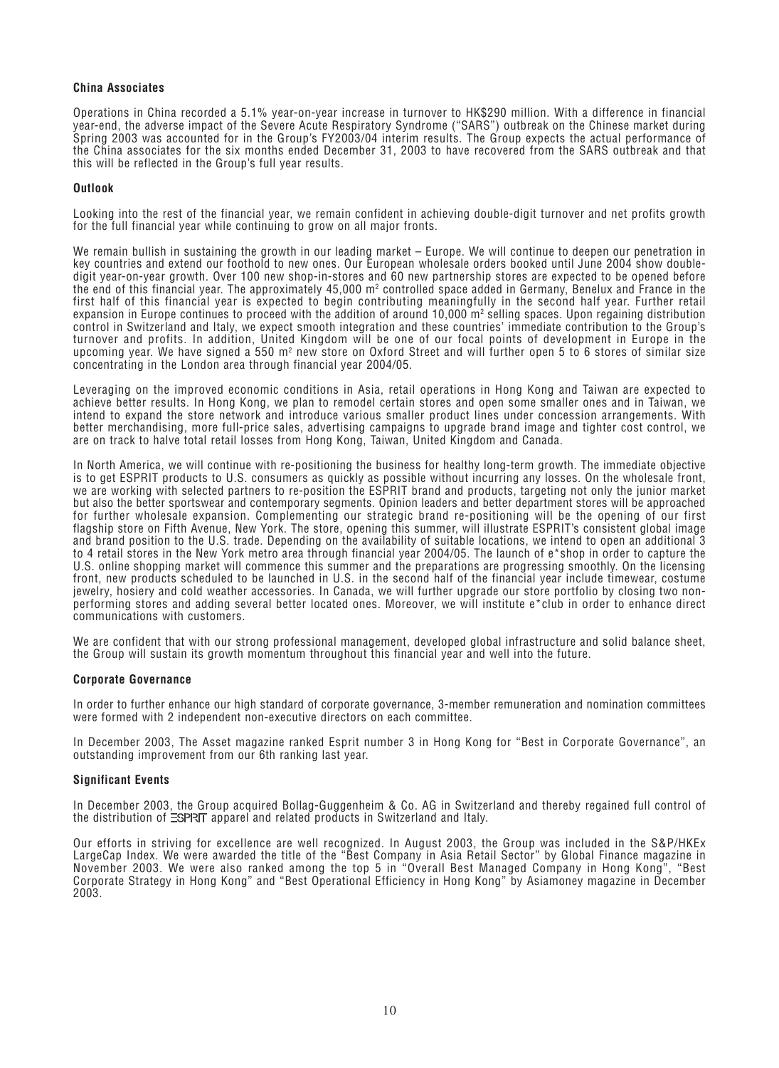#### **China Associates**

*Operations in China recorded a 5.1% year-on-year increase in turnover to HK\$290 million. With a difference in financial year-end, the adverse impact of the Severe Acute Respiratory Syndrome ("SARS") outbreak on the Chinese market during Spring 2003 was accounted for in the Group's FY2003/04 interim results. The Group expects the actual performance of the China associates for the six months ended December 31, 2003 to have recovered from the SARS outbreak and that this will be reflected in the Group's full year results.*

#### **Outlook**

*Looking into the rest of the financial year, we remain confident in achieving double-digit turnover and net profits growth for the full financial year while continuing to grow on all major fronts.*

*We remain bullish in sustaining the growth in our leading market – Europe. We will continue to deepen our penetration in key countries and extend our foothold to new ones. Our European wholesale orders booked until June 2004 show doubledigit year-on-year growth. Over 100 new shop-in-stores and 60 new partnership stores are expected to be opened before the end of this financial year. The approximately 45,000 m2 controlled space added in Germany, Benelux and France in the first half of this financial year is expected to begin contributing meaningfully in the second half year. Further retail expansion in Europe continues to proceed with the addition of around 10,000 m2 selling spaces. Upon regaining distribution control in Switzerland and Italy, we expect smooth integration and these countries' immediate contribution to the Group's turnover and profits. In addition, United Kingdom will be one of our focal points of development in Europe in the* upcoming year. We have signed a 550 m<sup>2</sup> new store on Oxford Street and will further open 5 to 6 stores of similar size *concentrating in the London area through financial year 2004/05.*

*Leveraging on the improved economic conditions in Asia, retail operations in Hong Kong and Taiwan are expected to achieve better results. In Hong Kong, we plan to remodel certain stores and open some smaller ones and in Taiwan, we intend to expand the store network and introduce various smaller product lines under concession arrangements. With better merchandising, more full-price sales, advertising campaigns to upgrade brand image and tighter cost control, we are on track to halve total retail losses from Hong Kong, Taiwan, United Kingdom and Canada.*

*In North America, we will continue with re-positioning the business for healthy long-term growth. The immediate objective is to get ESPRIT products to U.S. consumers as quickly as possible without incurring any losses. On the wholesale front, we are working with selected partners to re-position the ESPRIT brand and products, targeting not only the junior market but also the better sportswear and contemporary segments. Opinion leaders and better department stores will be approached for further wholesale expansion. Complementing our strategic brand re-positioning will be the opening of our first flagship store on Fifth Avenue, New York. The store, opening this summer, will illustrate ESPRIT's consistent global image and brand position to the U.S. trade. Depending on the availability of suitable locations, we intend to open an additional 3 to 4 retail stores in the New York metro area through financial year 2004/05. The launch of e\*shop in order to capture the U.S. online shopping market will commence this summer and the preparations are progressing smoothly. On the licensing front, new products scheduled to be launched in U.S. in the second half of the financial year include timewear, costume jewelry, hosiery and cold weather accessories. In Canada, we will further upgrade our store portfolio by closing two nonperforming stores and adding several better located ones. Moreover, we will institute e\*club in order to enhance direct communications with customers.*

*We are confident that with our strong professional management, developed global infrastructure and solid balance sheet, the Group will sustain its growth momentum throughout this financial year and well into the future.*

#### **Corporate Governance**

*In order to further enhance our high standard of corporate governance, 3-member remuneration and nomination committees were formed with 2 independent non-executive directors on each committee.*

*In December 2003, The Asset magazine ranked Esprit number 3 in Hong Kong for "Best in Corporate Governance", an outstanding improvement from our 6th ranking last year.*

#### **Significant Events**

*In December 2003, the Group acquired Bollag-Guggenheim & Co. AG in Switzerland and thereby regained full control of the distribution of*  $\equiv$ *SPRIT apparel and related products in Switzerland and Italy.* 

*Our efforts in striving for excellence are well recognized. In August 2003, the Group was included in the S&P/HKEx LargeCap Index. We were awarded the title of the "Best Company in Asia Retail Sector" by Global Finance magazine in November 2003. We were also ranked among the top 5 in "Overall Best Managed Company in Hong Kong", "Best Corporate Strategy in Hong Kong" and "Best Operational Efficiency in Hong Kong" by Asiamoney magazine in December 2003.*